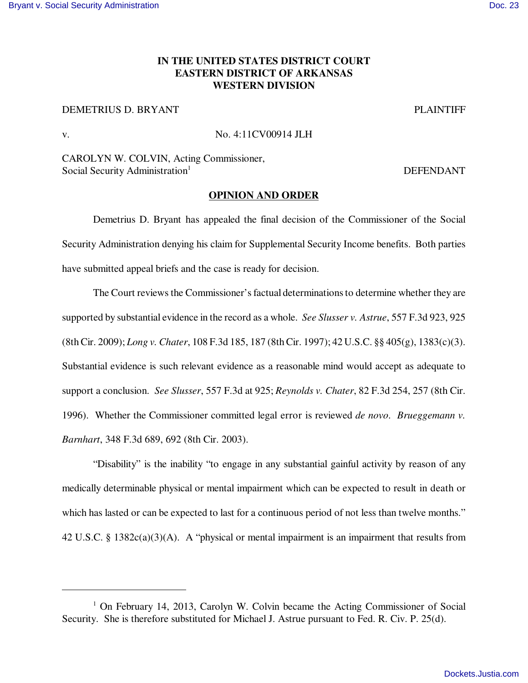## **IN THE UNITED STATES DISTRICT COURT EASTERN DISTRICT OF ARKANSAS WESTERN DIVISION**

DEMETRIUS D. BRYANT PLAINTIFF

v. No. 4:11CV00914 JLH

CAROLYN W. COLVIN, Acting Commissioner, Social Security Administration<sup>1</sup> DEFENDANT

## **OPINION AND ORDER**

Demetrius D. Bryant has appealed the final decision of the Commissioner of the Social Security Administration denying his claim for Supplemental Security Income benefits. Both parties have submitted appeal briefs and the case is ready for decision.

The Court reviews the Commissioner's factual determinations to determine whether they are supported by substantial evidence in the record as a whole. *See Slusser v. Astrue*, 557 F.3d 923, 925 (8th Cir. 2009); *Long v. Chater*, 108 F.3d 185, 187 (8th Cir. 1997); 42 U.S.C. §§ 405(g), 1383(c)(3). Substantial evidence is such relevant evidence as a reasonable mind would accept as adequate to support a conclusion. *See Slusser*, 557 F.3d at 925; *Reynolds v. Chater*, 82 F.3d 254, 257 (8th Cir. 1996). Whether the Commissioner committed legal error is reviewed *de novo*. *Brueggemann v. Barnhart*, 348 F.3d 689, 692 (8th Cir. 2003).

"Disability" is the inability "to engage in any substantial gainful activity by reason of any medically determinable physical or mental impairment which can be expected to result in death or which has lasted or can be expected to last for a continuous period of not less than twelve months." 42 U.S.C. § 1382c(a)(3)(A). A "physical or mental impairment is an impairment that results from

<sup>&</sup>lt;sup>1</sup> On February 14, 2013, Carolyn W. Colvin became the Acting Commissioner of Social Security. She is therefore substituted for Michael J. Astrue pursuant to Fed. R. Civ. P. 25(d).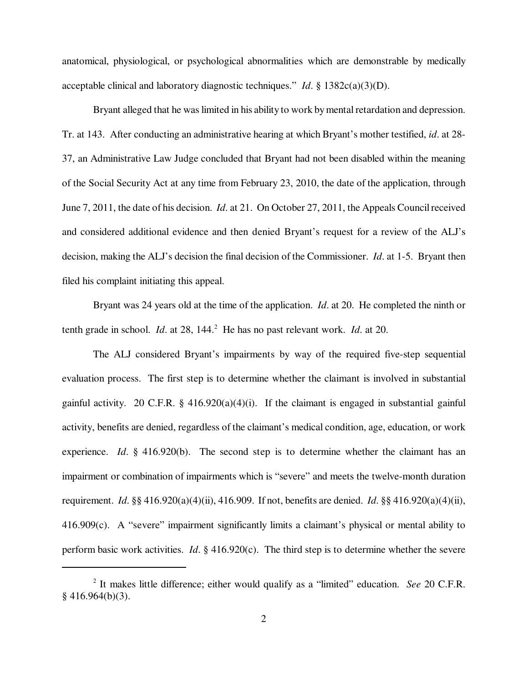anatomical, physiological, or psychological abnormalities which are demonstrable by medically acceptable clinical and laboratory diagnostic techniques." *Id*. § 1382c(a)(3)(D).

Bryant alleged that he was limited in his ability to work by mental retardation and depression. Tr. at 143. After conducting an administrative hearing at which Bryant's mother testified, *id*. at 28- 37, an Administrative Law Judge concluded that Bryant had not been disabled within the meaning of the Social Security Act at any time from February 23, 2010, the date of the application, through June 7, 2011, the date of his decision. *Id*. at 21. On October 27, 2011, the Appeals Council received and considered additional evidence and then denied Bryant's request for a review of the ALJ's decision, making the ALJ's decision the final decision of the Commissioner. *Id*. at 1-5. Bryant then filed his complaint initiating this appeal.

Bryant was 24 years old at the time of the application. *Id*. at 20. He completed the ninth or tenth grade in school. *Id.* at 28, 144.<sup>2</sup> He has no past relevant work. *Id.* at 20.

The ALJ considered Bryant's impairments by way of the required five-step sequential evaluation process. The first step is to determine whether the claimant is involved in substantial gainful activity. 20 C.F.R.  $\S$  416.920(a)(4)(i). If the claimant is engaged in substantial gainful activity, benefits are denied, regardless of the claimant's medical condition, age, education, or work experience. *Id*. § 416.920(b). The second step is to determine whether the claimant has an impairment or combination of impairments which is "severe" and meets the twelve-month duration requirement. *Id*. §§ 416.920(a)(4)(ii), 416.909. If not, benefits are denied. *Id*. §§ 416.920(a)(4)(ii), 416.909(c). A "severe" impairment significantly limits a claimant's physical or mental ability to perform basic work activities. *Id*. § 416.920(c). The third step is to determine whether the severe

<sup>2</sup> It makes little difference; either would qualify as a "limited" education. *See* 20 C.F.R.  $§$  416.964(b)(3).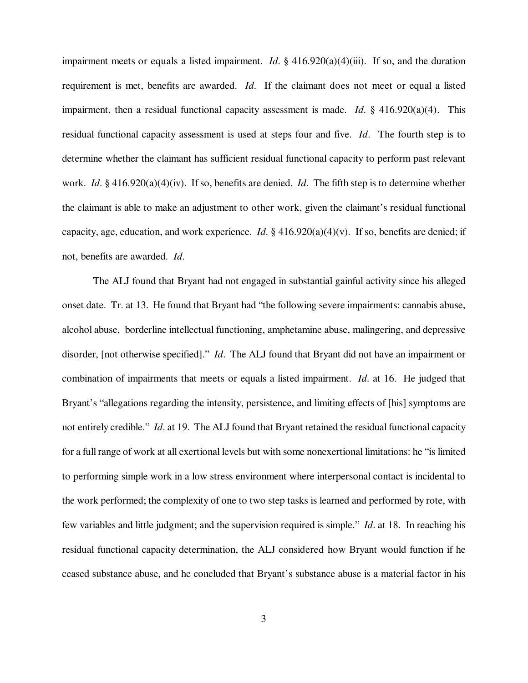impairment meets or equals a listed impairment. *Id*. § 416.920(a)(4)(iii). If so, and the duration requirement is met, benefits are awarded. *Id*. If the claimant does not meet or equal a listed impairment, then a residual functional capacity assessment is made. *Id*. § 416.920(a)(4). This residual functional capacity assessment is used at steps four and five. *Id*. The fourth step is to determine whether the claimant has sufficient residual functional capacity to perform past relevant work. *Id*. § 416.920(a)(4)(iv). If so, benefits are denied. *Id*. The fifth step is to determine whether the claimant is able to make an adjustment to other work, given the claimant's residual functional capacity, age, education, and work experience. *Id*. § 416.920(a)(4)(v). If so, benefits are denied; if not, benefits are awarded. *Id*.

The ALJ found that Bryant had not engaged in substantial gainful activity since his alleged onset date. Tr. at 13. He found that Bryant had "the following severe impairments: cannabis abuse, alcohol abuse, borderline intellectual functioning, amphetamine abuse, malingering, and depressive disorder, [not otherwise specified]." *Id*. The ALJ found that Bryant did not have an impairment or combination of impairments that meets or equals a listed impairment. *Id*. at 16. He judged that Bryant's "allegations regarding the intensity, persistence, and limiting effects of [his] symptoms are not entirely credible." *Id*. at 19. The ALJ found that Bryant retained the residual functional capacity for a full range of work at all exertional levels but with some nonexertional limitations: he "is limited to performing simple work in a low stress environment where interpersonal contact is incidental to the work performed; the complexity of one to two step tasks is learned and performed by rote, with few variables and little judgment; and the supervision required is simple." *Id*. at 18. In reaching his residual functional capacity determination, the ALJ considered how Bryant would function if he ceased substance abuse, and he concluded that Bryant's substance abuse is a material factor in his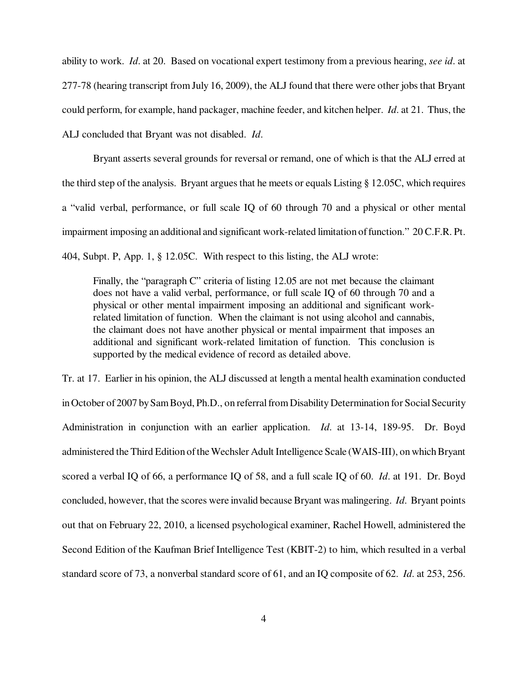ability to work. *Id*. at 20. Based on vocational expert testimony from a previous hearing, *see id*. at 277-78 (hearing transcript from July 16, 2009), the ALJ found that there were other jobs that Bryant could perform, for example, hand packager, machine feeder, and kitchen helper. *Id*. at 21. Thus, the ALJ concluded that Bryant was not disabled. *Id*.

Bryant asserts several grounds for reversal or remand, one of which is that the ALJ erred at the third step of the analysis. Bryant argues that he meets or equals Listing § 12.05C, which requires a "valid verbal, performance, or full scale IQ of 60 through 70 and a physical or other mental impairment imposing an additional and significant work-related limitation of function." 20 C.F.R. Pt. 404, Subpt. P, App. 1, § 12.05C. With respect to this listing, the ALJ wrote:

Finally, the "paragraph C" criteria of listing 12.05 are not met because the claimant does not have a valid verbal, performance, or full scale IQ of 60 through 70 and a physical or other mental impairment imposing an additional and significant workrelated limitation of function. When the claimant is not using alcohol and cannabis, the claimant does not have another physical or mental impairment that imposes an additional and significant work-related limitation of function. This conclusion is supported by the medical evidence of record as detailed above.

Tr. at 17. Earlier in his opinion, the ALJ discussed at length a mental health examination conducted in October of 2007 by Sam Boyd, Ph.D., on referral from Disability Determination for Social Security Administration in conjunction with an earlier application. *Id*. at 13-14, 189-95. Dr. Boyd administered the Third Edition of the Wechsler Adult Intelligence Scale (WAIS-III), on which Bryant scored a verbal IQ of 66, a performance IQ of 58, and a full scale IQ of 60. *Id*. at 191. Dr. Boyd concluded, however, that the scores were invalid because Bryant was malingering. *Id*. Bryant points out that on February 22, 2010, a licensed psychological examiner, Rachel Howell, administered the Second Edition of the Kaufman Brief Intelligence Test (KBIT-2) to him, which resulted in a verbal standard score of 73, a nonverbal standard score of 61, and an IQ composite of 62. *Id*. at 253, 256.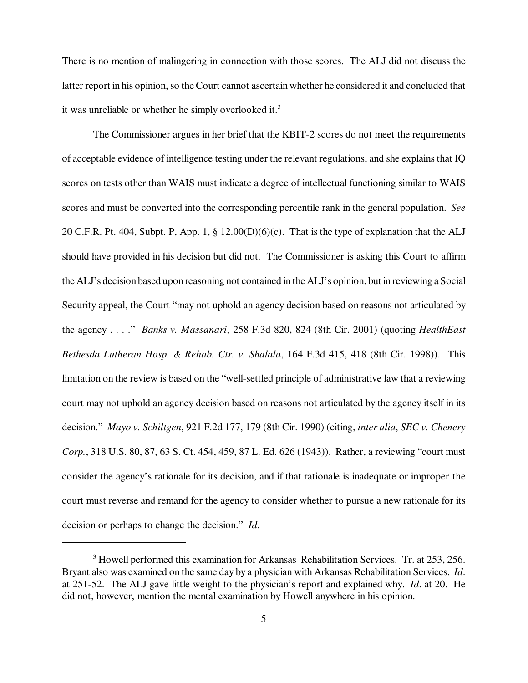There is no mention of malingering in connection with those scores. The ALJ did not discuss the latter report in his opinion, so the Court cannot ascertain whether he considered it and concluded that it was unreliable or whether he simply overlooked it.<sup>3</sup>

The Commissioner argues in her brief that the KBIT-2 scores do not meet the requirements of acceptable evidence of intelligence testing under the relevant regulations, and she explains that IQ scores on tests other than WAIS must indicate a degree of intellectual functioning similar to WAIS scores and must be converted into the corresponding percentile rank in the general population. *See* 20 C.F.R. Pt. 404, Subpt. P, App. 1, § 12.00(D)(6)(c). That is the type of explanation that the ALJ should have provided in his decision but did not. The Commissioner is asking this Court to affirm the ALJ's decision based upon reasoning not contained in the ALJ's opinion, but in reviewing a Social Security appeal, the Court "may not uphold an agency decision based on reasons not articulated by the agency . . . ." *Banks v. Massanari*, 258 F.3d 820, 824 (8th Cir. 2001) (quoting *HealthEast Bethesda Lutheran Hosp. & Rehab. Ctr. v. Shalala*, 164 F.3d 415, 418 (8th Cir. 1998)). This limitation on the review is based on the "well-settled principle of administrative law that a reviewing court may not uphold an agency decision based on reasons not articulated by the agency itself in its decision." *Mayo v. Schiltgen*, 921 F.2d 177, 179 (8th Cir. 1990) (citing, *inter alia*, *SEC v. Chenery Corp.*, 318 U.S. 80, 87, 63 S. Ct. 454, 459, 87 L. Ed. 626 (1943)). Rather, a reviewing "court must consider the agency's rationale for its decision, and if that rationale is inadequate or improper the court must reverse and remand for the agency to consider whether to pursue a new rationale for its decision or perhaps to change the decision." *Id*.

<sup>&</sup>lt;sup>3</sup> Howell performed this examination for Arkansas Rehabilitation Services. Tr. at 253, 256. Bryant also was examined on the same day by a physician with Arkansas Rehabilitation Services. *Id*. at 251-52. The ALJ gave little weight to the physician's report and explained why. *Id*. at 20. He did not, however, mention the mental examination by Howell anywhere in his opinion.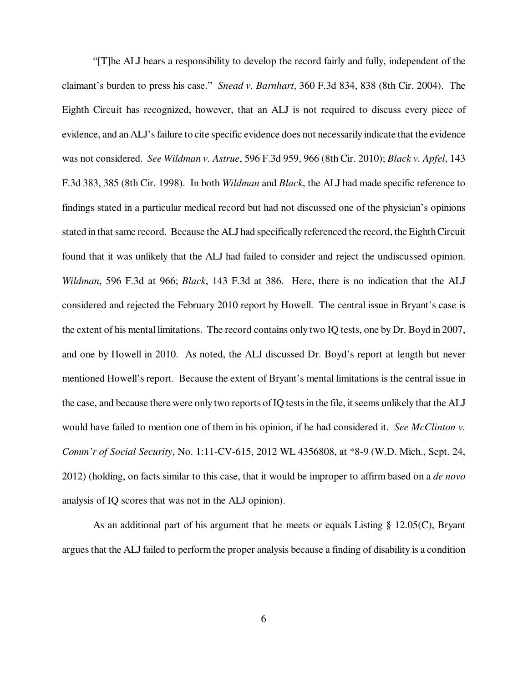"[T]he ALJ bears a responsibility to develop the record fairly and fully, independent of the claimant's burden to press his case." *Snead v. Barnhart*, 360 F.3d 834, 838 (8th Cir. 2004). The Eighth Circuit has recognized, however, that an ALJ is not required to discuss every piece of evidence, and an ALJ's failure to cite specific evidence does not necessarily indicate that the evidence was not considered. *See Wildman v. Astrue*, 596 F.3d 959, 966 (8th Cir. 2010); *Black v. Apfel*, 143 F.3d 383, 385 (8th Cir. 1998). In both *Wildman* and *Black*, the ALJ had made specific reference to findings stated in a particular medical record but had not discussed one of the physician's opinions stated in that same record. Because the ALJ had specifically referenced the record, the Eighth Circuit found that it was unlikely that the ALJ had failed to consider and reject the undiscussed opinion. *Wildman*, 596 F.3d at 966; *Black*, 143 F.3d at 386. Here, there is no indication that the ALJ considered and rejected the February 2010 report by Howell. The central issue in Bryant's case is the extent of his mental limitations. The record contains only two IQ tests, one by Dr. Boyd in 2007, and one by Howell in 2010. As noted, the ALJ discussed Dr. Boyd's report at length but never mentioned Howell's report. Because the extent of Bryant's mental limitations is the central issue in the case, and because there were only two reports of IQ tests in the file, it seems unlikely that the ALJ would have failed to mention one of them in his opinion, if he had considered it. *See McClinton v. Comm'r of Social Security*, No. 1:11-CV-615, 2012 WL 4356808, at \*8-9 (W.D. Mich., Sept. 24, 2012) (holding, on facts similar to this case, that it would be improper to affirm based on a *de novo* analysis of IQ scores that was not in the ALJ opinion).

As an additional part of his argument that he meets or equals Listing § 12.05(C), Bryant argues that the ALJ failed to perform the proper analysis because a finding of disability is a condition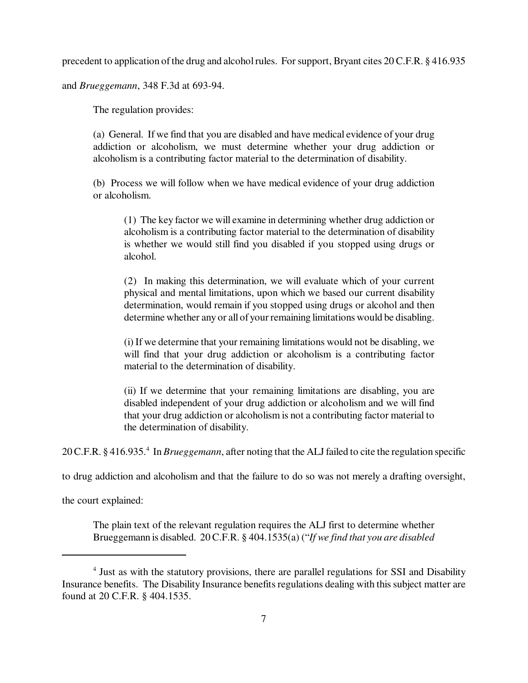precedent to application of the drug and alcohol rules. For support, Bryant cites 20 C.F.R. § 416.935

and *Brueggemann*, 348 F.3d at 693-94.

The regulation provides:

(a) General. If we find that you are disabled and have medical evidence of your drug addiction or alcoholism, we must determine whether your drug addiction or alcoholism is a contributing factor material to the determination of disability.

(b) Process we will follow when we have medical evidence of your drug addiction or alcoholism.

(1) The key factor we will examine in determining whether drug addiction or alcoholism is a contributing factor material to the determination of disability is whether we would still find you disabled if you stopped using drugs or alcohol.

(2) In making this determination, we will evaluate which of your current physical and mental limitations, upon which we based our current disability determination, would remain if you stopped using drugs or alcohol and then determine whether any or all of your remaining limitations would be disabling.

(i) If we determine that your remaining limitations would not be disabling, we will find that your drug addiction or alcoholism is a contributing factor material to the determination of disability.

(ii) If we determine that your remaining limitations are disabling, you are disabled independent of your drug addiction or alcoholism and we will find that your drug addiction or alcoholism is not a contributing factor material to the determination of disability.

20 C.F.R. § 416.935.<sup>4</sup> In *Brueggemann*, after noting that the ALJ failed to cite the regulation specific

to drug addiction and alcoholism and that the failure to do so was not merely a drafting oversight,

the court explained:

The plain text of the relevant regulation requires the ALJ first to determine whether Brueggemann is disabled. 20 C.F.R. § 404.1535(a) ("*If we find that you are disabled*

<sup>&</sup>lt;sup>4</sup> Just as with the statutory provisions, there are parallel regulations for SSI and Disability Insurance benefits. The Disability Insurance benefits regulations dealing with this subject matter are found at 20 C.F.R. § 404.1535.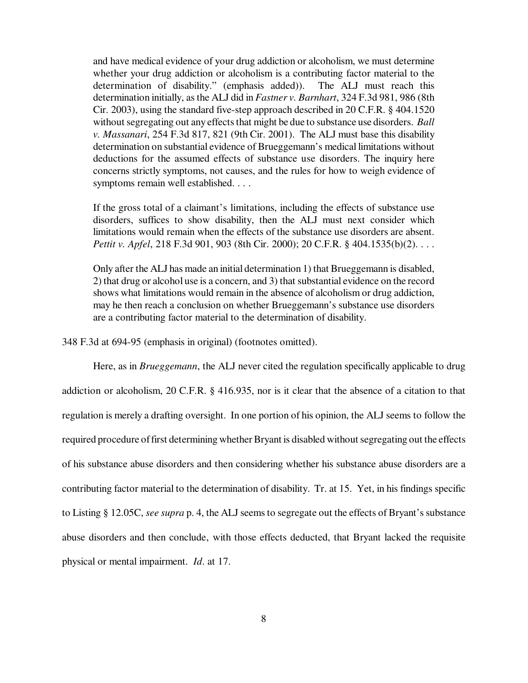and have medical evidence of your drug addiction or alcoholism, we must determine whether your drug addiction or alcoholism is a contributing factor material to the determination of disability." (emphasis added)). The ALJ must reach this determination initially, as the ALJ did in *Fastner v. Barnhart*, 324 F.3d 981, 986 (8th Cir. 2003), using the standard five-step approach described in 20 C.F.R. § 404.1520 without segregating out any effects that might be due to substance use disorders. *Ball v. Massanari*, 254 F.3d 817, 821 (9th Cir. 2001). The ALJ must base this disability determination on substantial evidence of Brueggemann's medical limitations without deductions for the assumed effects of substance use disorders. The inquiry here concerns strictly symptoms, not causes, and the rules for how to weigh evidence of symptoms remain well established. . . .

If the gross total of a claimant's limitations, including the effects of substance use disorders, suffices to show disability, then the ALJ must next consider which limitations would remain when the effects of the substance use disorders are absent. *Pettit v. Apfel*, 218 F.3d 901, 903 (8th Cir. 2000); 20 C.F.R. § 404.1535(b)(2). . . .

Only after the ALJ has made an initial determination 1) that Brueggemann is disabled, 2) that drug or alcohol use is a concern, and 3) that substantial evidence on the record shows what limitations would remain in the absence of alcoholism or drug addiction, may he then reach a conclusion on whether Brueggemann's substance use disorders are a contributing factor material to the determination of disability.

348 F.3d at 694-95 (emphasis in original) (footnotes omitted).

Here, as in *Brueggemann*, the ALJ never cited the regulation specifically applicable to drug addiction or alcoholism, 20 C.F.R. § 416.935, nor is it clear that the absence of a citation to that regulation is merely a drafting oversight. In one portion of his opinion, the ALJ seems to follow the required procedure of first determining whether Bryant is disabled without segregating out the effects of his substance abuse disorders and then considering whether his substance abuse disorders are a contributing factor material to the determination of disability. Tr. at 15. Yet, in his findings specific to Listing § 12.05C, *see supra* p. 4, the ALJ seems to segregate out the effects of Bryant's substance abuse disorders and then conclude, with those effects deducted, that Bryant lacked the requisite physical or mental impairment. *Id*. at 17.